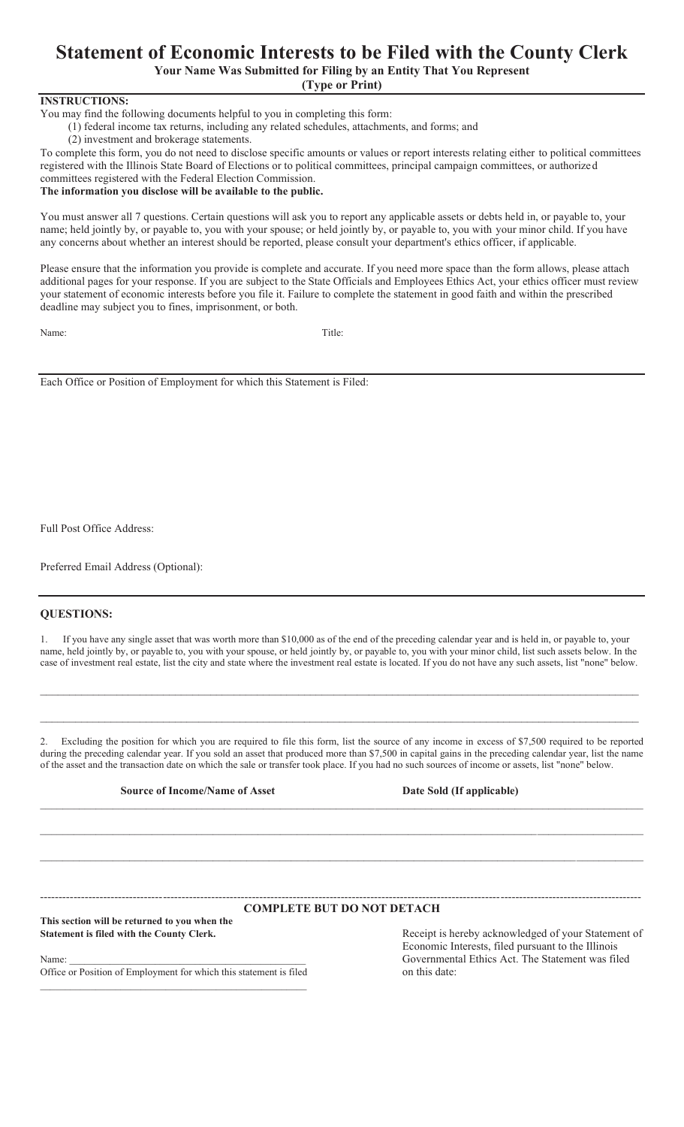## **Statement of Economic Interests to be Filed with the County Clerk**

**Your Name Was Submitted for Filing by an Entity That You Represent**

**(Type or Print)**

#### **INSTRUCTIONS:**

You may find the following documents helpful to you in completing this form:

(1) federal income tax returns, including any related schedules, attachments, and forms; and

(2) investment and brokerage statements.

To complete this form, you do not need to disclose specific amounts or values or report interests relating either to political committees registered with the Illinois State Board of Elections or to political committees, principal campaign committees, or authorized committees registered with the Federal Election Commission.

### **The information you disclose will be available to the public.**

You must answer all 7 questions. Certain questions will ask you to report any applicable assets or debts held in, or payable to, your name; held jointly by, or payable to, you with your spouse; or held jointly by, or payable to, you with your minor child. If you have any concerns about whether an interest should be reported, please consult your department's ethics officer, if applicable.

Please ensure that the information you provide is complete and accurate. If you need more space than the form allows, please attach additional pages for your response. If you are subject to the State Officials and Employees Ethics Act, your ethics officer must review your statement of economic interests before you file it. Failure to complete the statement in good faith and within the prescribed deadline may subject you to fines, imprisonment, or both.

Name: Title:

Each Office or Position of Employment for which this Statement is Filed:

Full Post Office Address:

Preferred Email Address (Optional):

#### **QUESTIONS:**

1. If you have any single asset that was worth more than \$10,000 as of the end of the preceding calendar year and is held in, or payable to, your name, held jointly by, or payable to, you with your spouse, or held jointly by, or payable to, you with your minor child, list such assets below. In the case of investment real estate, list the city and state where the investment real estate is located. If you do not have any such assets, list "none" below.

 $\mathcal{L}_\text{max}$  and the contract of the contract of the contract of the contract of the contract of the contract of the contract of the contract of the contract of the contract of the contract of the contract of the contrac

 $\_$  , and the state of the state of the state of the state of the state of the state of the state of the state of the state of the state of the state of the state of the state of the state of the state of the state of the

2. Excluding the position for which you are required to file this form, list the source of any income in excess of \$7,500 required to be reported during the preceding calendar year. If you sold an asset that produced more than \$7,500 in capital gains in the preceding calendar year, list the name of the asset and the transaction date on which the sale or transfer took place. If you had no such sources of income or assets, list "none" below.

\_\_\_\_\_\_\_\_\_\_\_\_\_\_\_\_\_\_\_\_\_\_\_\_\_\_\_\_\_\_\_\_\_\_\_\_\_\_\_\_\_\_\_\_\_\_\_\_\_\_\_\_\_\_\_\_\_\_\_\_\_\_\_\_\_\_\_\_\_\_\_\_\_\_\_\_\_\_\_\_\_\_\_\_\_\_\_\_\_\_\_\_\_\_\_\_\_\_\_\_\_\_\_\_\_\_\_\_

 $\_$  , and the state of the state of the state of the state of the state of the state of the state of the state of the state of the state of the state of the state of the state of the state of the state of the state of the

#### **Source of Income/Name of Asset <b>Date Sold (If applicable)**

 $\_$  , and the state of the state of the state of the state of the state of the state of the state of the state of the state of the state of the state of the state of the state of the state of the state of the state of the

#### ------------------------------------------------------------------------------------------------------------------------------------------------------------------ **COMPLETE BUT DO NOT DETACH**

**This section will be returned to you when the Statement is filed with the County Clerk.**

Name: \_\_\_\_\_\_\_\_\_\_\_\_\_\_\_\_\_\_\_\_\_\_\_\_\_\_\_\_\_\_\_\_\_\_\_\_\_\_\_\_\_\_\_\_\_\_\_

Office or Position of Employment for which this statement is filed  $\mathcal{L}_\text{max}$  and the contract of the contract of the contract of the contract of the contract of the contract of the contract of the contract of the contract of the contract of the contract of the contract of the contrac

Receipt is hereby acknowledged of your Statement of Economic Interests, filed pursuant to the Illinois Governmental Ethics Act. The Statement was filed on this date: